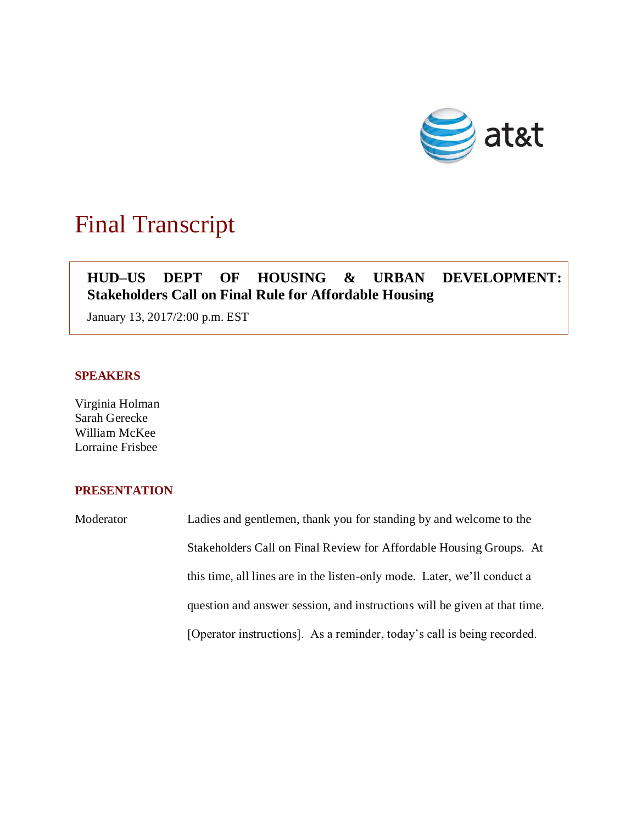

## Final Transcript

## **HUD–US DEPT OF HOUSING & URBAN DEVELOPMENT: Stakeholders Call on Final Rule for Affordable Housing**

January 13, 2017/2:00 p.m. EST

## **SPEAKERS**

Virginia Holman Sarah Gerecke William McKee Lorraine Frisbee

## **PRESENTATION**

Moderator Ladies and gentlemen, thank you for standing by and welcome to the Stakeholders Call on Final Review for Affordable Housing Groups. At this time, all lines are in the listen-only mode. Later, we'll conduct a question and answer session, and instructions will be given at that time. [Operator instructions]. As a reminder, today's call is being recorded.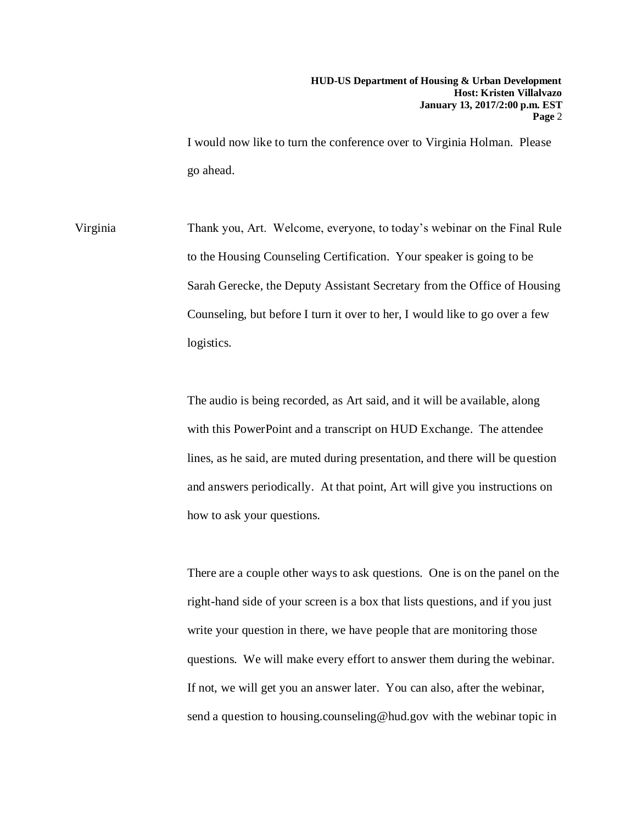I would now like to turn the conference over to Virginia Holman. Please go ahead.

Virginia Thank you, Art. Welcome, everyone, to today's webinar on the Final Rule to the Housing Counseling Certification. Your speaker is going to be Sarah Gerecke, the Deputy Assistant Secretary from the Office of Housing Counseling, but before I turn it over to her, I would like to go over a few logistics.

> The audio is being recorded, as Art said, and it will be available, along with this PowerPoint and a transcript on HUD Exchange. The attendee lines, as he said, are muted during presentation, and there will be question and answers periodically. At that point, Art will give you instructions on how to ask your questions.

> There are a couple other ways to ask questions. One is on the panel on the right-hand side of your screen is a box that lists questions, and if you just write your question in there, we have people that are monitoring those questions. We will make every effort to answer them during the webinar. If not, we will get you an answer later. You can also, after the webinar, send a question to housing.counseling@hud.gov with the webinar topic in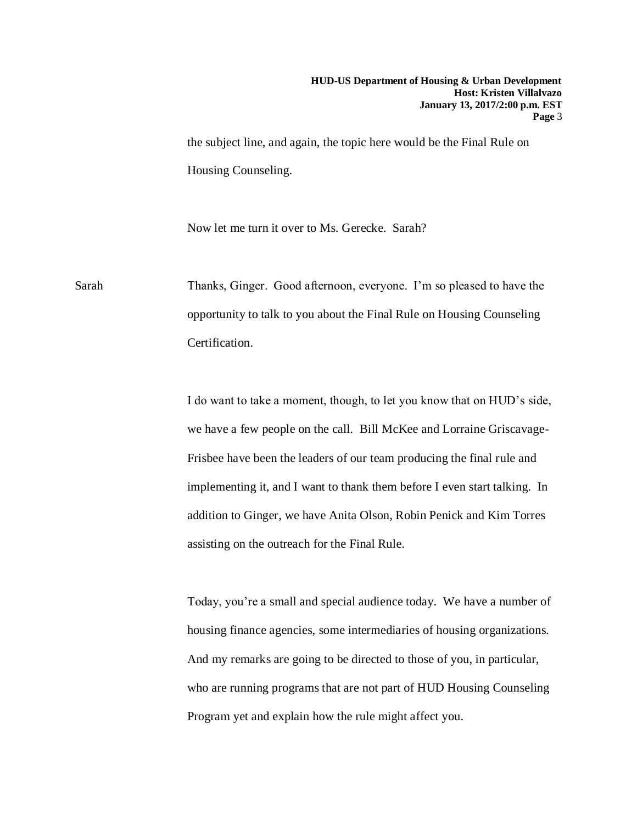the subject line, and again, the topic here would be the Final Rule on Housing Counseling.

Now let me turn it over to Ms. Gerecke. Sarah?

Sarah Thanks, Ginger. Good afternoon, everyone. I'm so pleased to have the opportunity to talk to you about the Final Rule on Housing Counseling Certification.

> I do want to take a moment, though, to let you know that on HUD's side, we have a few people on the call. Bill McKee and Lorraine Griscavage-Frisbee have been the leaders of our team producing the final rule and implementing it, and I want to thank them before I even start talking. In addition to Ginger, we have Anita Olson, Robin Penick and Kim Torres assisting on the outreach for the Final Rule.

> Today, you're a small and special audience today. We have a number of housing finance agencies, some intermediaries of housing organizations. And my remarks are going to be directed to those of you, in particular, who are running programs that are not part of HUD Housing Counseling Program yet and explain how the rule might affect you.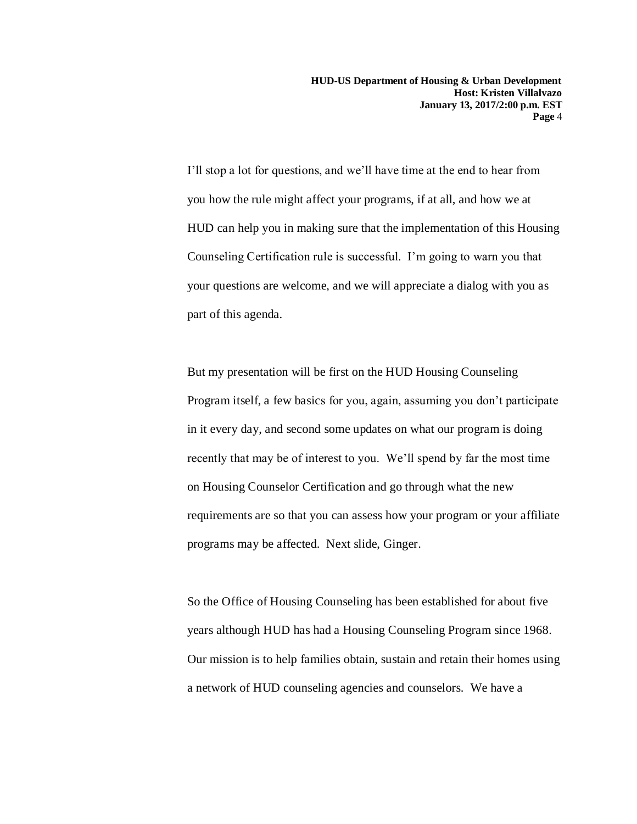I'll stop a lot for questions, and we'll have time at the end to hear from you how the rule might affect your programs, if at all, and how we at HUD can help you in making sure that the implementation of this Housing Counseling Certification rule is successful. I'm going to warn you that your questions are welcome, and we will appreciate a dialog with you as part of this agenda.

But my presentation will be first on the HUD Housing Counseling Program itself, a few basics for you, again, assuming you don't participate in it every day, and second some updates on what our program is doing recently that may be of interest to you. We'll spend by far the most time on Housing Counselor Certification and go through what the new requirements are so that you can assess how your program or your affiliate programs may be affected. Next slide, Ginger.

So the Office of Housing Counseling has been established for about five years although HUD has had a Housing Counseling Program since 1968. Our mission is to help families obtain, sustain and retain their homes using a network of HUD counseling agencies and counselors. We have a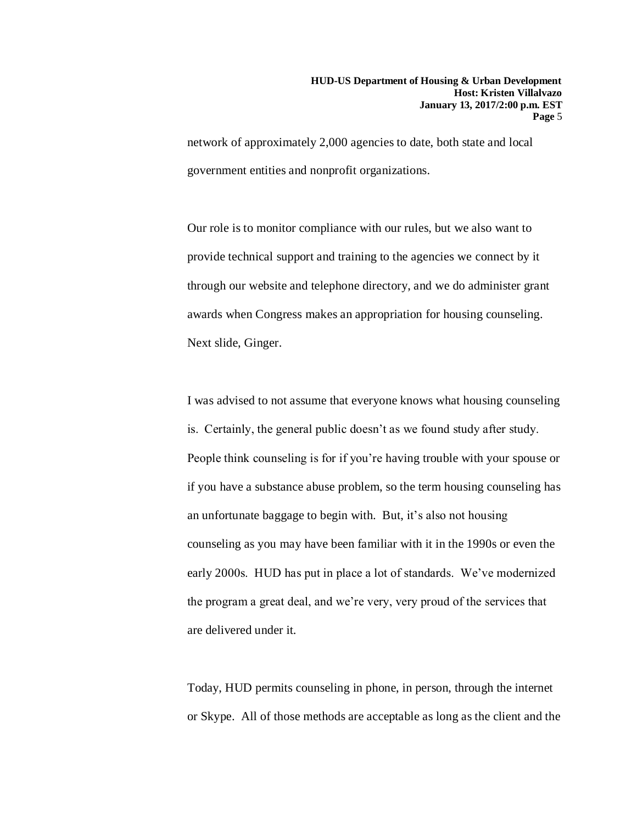network of approximately 2,000 agencies to date, both state and local government entities and nonprofit organizations.

Our role is to monitor compliance with our rules, but we also want to provide technical support and training to the agencies we connect by it through our website and telephone directory, and we do administer grant awards when Congress makes an appropriation for housing counseling. Next slide, Ginger.

I was advised to not assume that everyone knows what housing counseling is. Certainly, the general public doesn't as we found study after study. People think counseling is for if you're having trouble with your spouse or if you have a substance abuse problem, so the term housing counseling has an unfortunate baggage to begin with. But, it's also not housing counseling as you may have been familiar with it in the 1990s or even the early 2000s. HUD has put in place a lot of standards. We've modernized the program a great deal, and we're very, very proud of the services that are delivered under it.

Today, HUD permits counseling in phone, in person, through the internet or Skype. All of those methods are acceptable as long as the client and the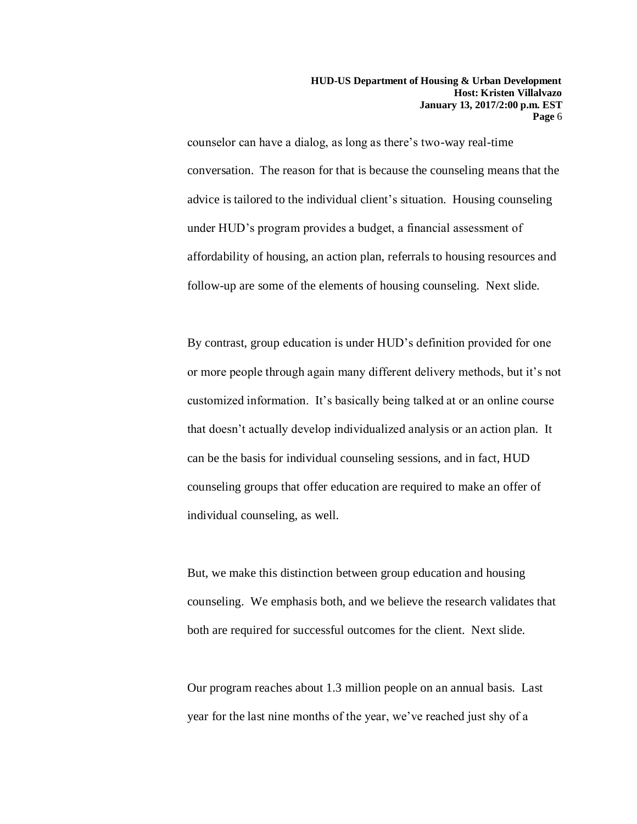counselor can have a dialog, as long as there's two-way real-time conversation. The reason for that is because the counseling means that the advice is tailored to the individual client's situation. Housing counseling under HUD's program provides a budget, a financial assessment of affordability of housing, an action plan, referrals to housing resources and follow-up are some of the elements of housing counseling. Next slide.

By contrast, group education is under HUD's definition provided for one or more people through again many different delivery methods, but it's not customized information. It's basically being talked at or an online course that doesn't actually develop individualized analysis or an action plan. It can be the basis for individual counseling sessions, and in fact, HUD counseling groups that offer education are required to make an offer of individual counseling, as well.

But, we make this distinction between group education and housing counseling. We emphasis both, and we believe the research validates that both are required for successful outcomes for the client. Next slide.

Our program reaches about 1.3 million people on an annual basis. Last year for the last nine months of the year, we've reached just shy of a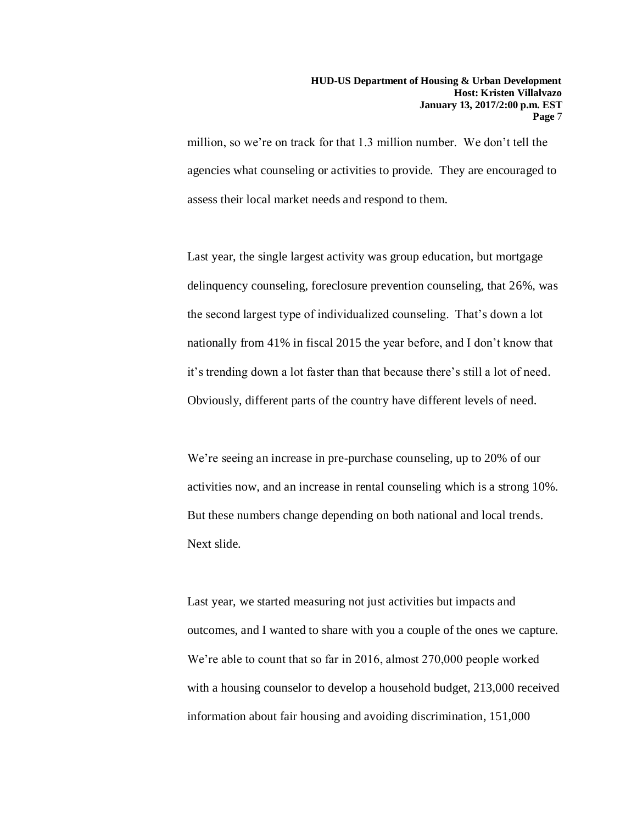million, so we're on track for that 1.3 million number. We don't tell the agencies what counseling or activities to provide. They are encouraged to assess their local market needs and respond to them.

Last year, the single largest activity was group education, but mortgage delinquency counseling, foreclosure prevention counseling, that 26%, was the second largest type of individualized counseling. That's down a lot nationally from 41% in fiscal 2015 the year before, and I don't know that it's trending down a lot faster than that because there's still a lot of need. Obviously, different parts of the country have different levels of need.

We're seeing an increase in pre-purchase counseling, up to 20% of our activities now, and an increase in rental counseling which is a strong 10%. But these numbers change depending on both national and local trends. Next slide.

Last year, we started measuring not just activities but impacts and outcomes, and I wanted to share with you a couple of the ones we capture. We're able to count that so far in 2016, almost 270,000 people worked with a housing counselor to develop a household budget, 213,000 received information about fair housing and avoiding discrimination, 151,000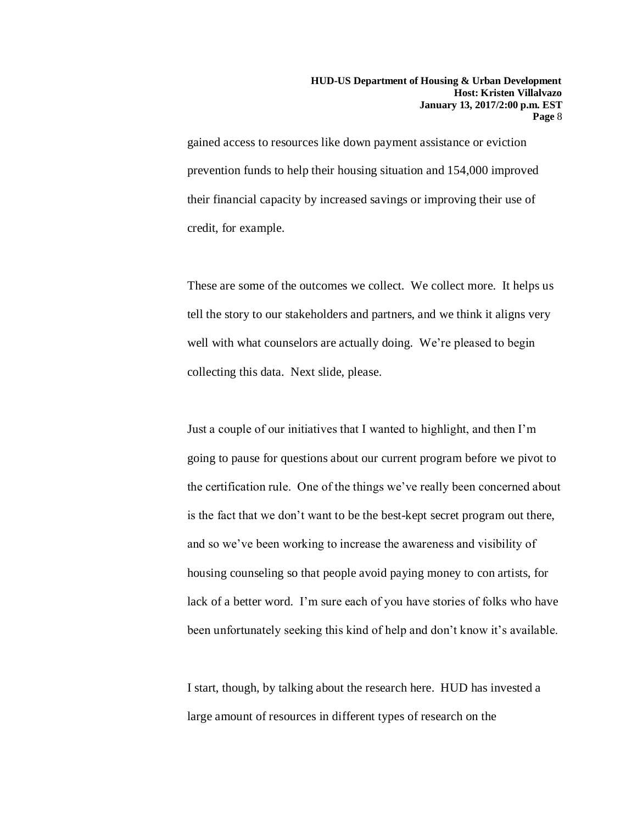gained access to resources like down payment assistance or eviction prevention funds to help their housing situation and 154,000 improved their financial capacity by increased savings or improving their use of credit, for example.

These are some of the outcomes we collect. We collect more. It helps us tell the story to our stakeholders and partners, and we think it aligns very well with what counselors are actually doing. We're pleased to begin collecting this data. Next slide, please.

Just a couple of our initiatives that I wanted to highlight, and then I'm going to pause for questions about our current program before we pivot to the certification rule. One of the things we've really been concerned about is the fact that we don't want to be the best-kept secret program out there, and so we've been working to increase the awareness and visibility of housing counseling so that people avoid paying money to con artists, for lack of a better word. I'm sure each of you have stories of folks who have been unfortunately seeking this kind of help and don't know it's available.

I start, though, by talking about the research here. HUD has invested a large amount of resources in different types of research on the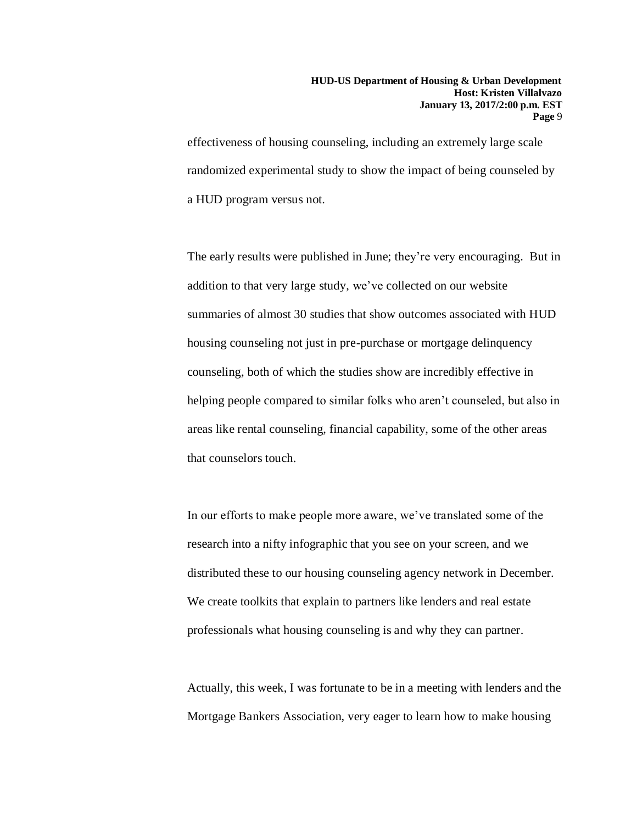effectiveness of housing counseling, including an extremely large scale randomized experimental study to show the impact of being counseled by a HUD program versus not.

The early results were published in June; they're very encouraging. But in addition to that very large study, we've collected on our website summaries of almost 30 studies that show outcomes associated with HUD housing counseling not just in pre-purchase or mortgage delinquency counseling, both of which the studies show are incredibly effective in helping people compared to similar folks who aren't counseled, but also in areas like rental counseling, financial capability, some of the other areas that counselors touch.

In our efforts to make people more aware, we've translated some of the research into a nifty infographic that you see on your screen, and we distributed these to our housing counseling agency network in December. We create toolkits that explain to partners like lenders and real estate professionals what housing counseling is and why they can partner.

Actually, this week, I was fortunate to be in a meeting with lenders and the Mortgage Bankers Association, very eager to learn how to make housing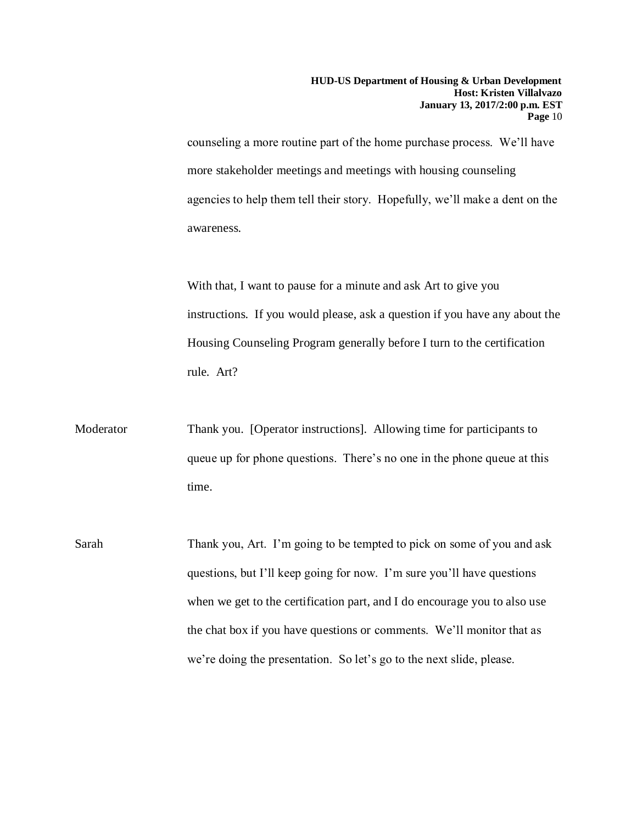counseling a more routine part of the home purchase process. We'll have more stakeholder meetings and meetings with housing counseling agencies to help them tell their story. Hopefully, we'll make a dent on the awareness.

With that, I want to pause for a minute and ask Art to give you instructions. If you would please, ask a question if you have any about the Housing Counseling Program generally before I turn to the certification rule. Art?

- Moderator Thank you. [Operator instructions]. Allowing time for participants to queue up for phone questions. There's no one in the phone queue at this time.
- Sarah Thank you, Art. I'm going to be tempted to pick on some of you and ask questions, but I'll keep going for now. I'm sure you'll have questions when we get to the certification part, and I do encourage you to also use the chat box if you have questions or comments. We'll monitor that as we're doing the presentation. So let's go to the next slide, please.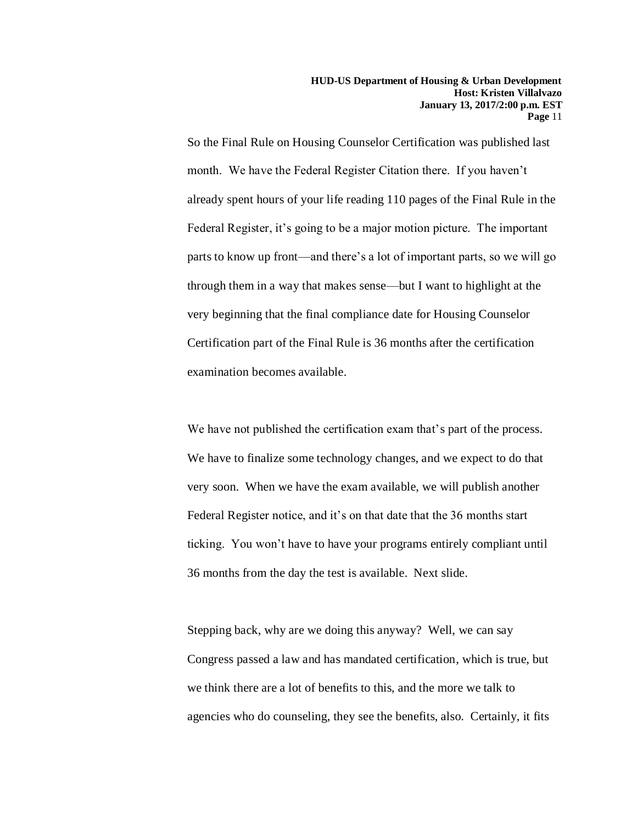So the Final Rule on Housing Counselor Certification was published last month. We have the Federal Register Citation there. If you haven't already spent hours of your life reading 110 pages of the Final Rule in the Federal Register, it's going to be a major motion picture. The important parts to know up front—and there's a lot of important parts, so we will go through them in a way that makes sense—but I want to highlight at the very beginning that the final compliance date for Housing Counselor Certification part of the Final Rule is 36 months after the certification examination becomes available.

We have not published the certification exam that's part of the process. We have to finalize some technology changes, and we expect to do that very soon. When we have the exam available, we will publish another Federal Register notice, and it's on that date that the 36 months start ticking. You won't have to have your programs entirely compliant until 36 months from the day the test is available. Next slide.

Stepping back, why are we doing this anyway? Well, we can say Congress passed a law and has mandated certification, which is true, but we think there are a lot of benefits to this, and the more we talk to agencies who do counseling, they see the benefits, also. Certainly, it fits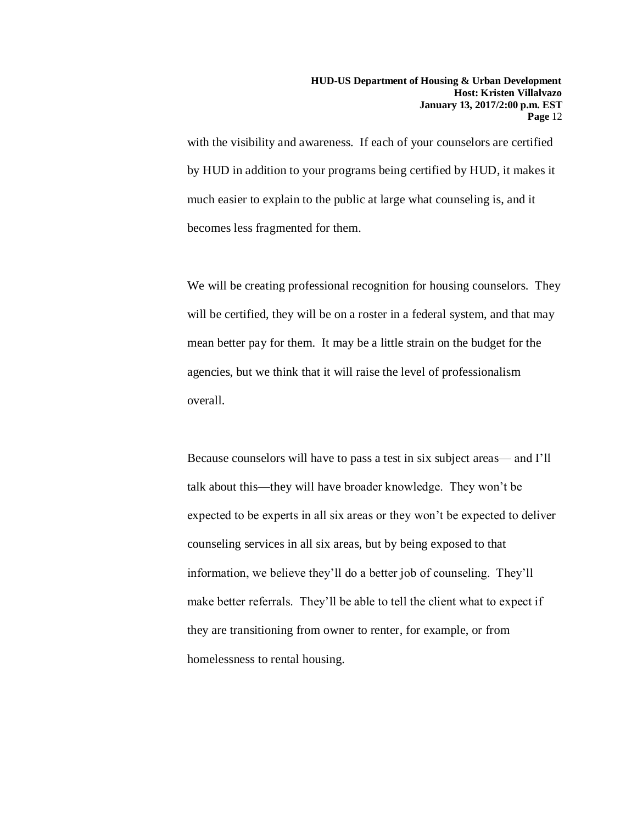with the visibility and awareness. If each of your counselors are certified by HUD in addition to your programs being certified by HUD, it makes it much easier to explain to the public at large what counseling is, and it becomes less fragmented for them.

We will be creating professional recognition for housing counselors. They will be certified, they will be on a roster in a federal system, and that may mean better pay for them. It may be a little strain on the budget for the agencies, but we think that it will raise the level of professionalism overall.

Because counselors will have to pass a test in six subject areas— and I'll talk about this—they will have broader knowledge. They won't be expected to be experts in all six areas or they won't be expected to deliver counseling services in all six areas, but by being exposed to that information, we believe they'll do a better job of counseling. They'll make better referrals. They'll be able to tell the client what to expect if they are transitioning from owner to renter, for example, or from homelessness to rental housing.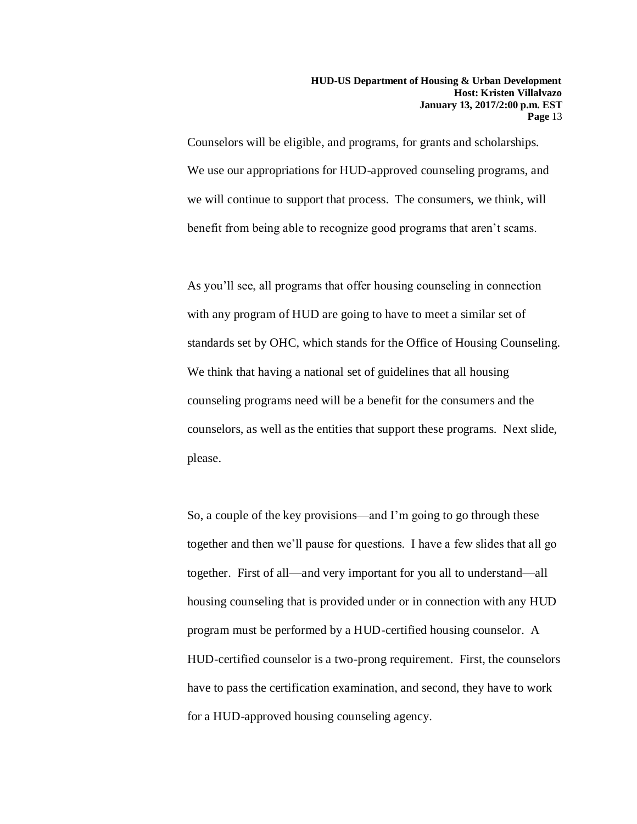Counselors will be eligible, and programs, for grants and scholarships. We use our appropriations for HUD-approved counseling programs, and we will continue to support that process. The consumers, we think, will benefit from being able to recognize good programs that aren't scams.

As you'll see, all programs that offer housing counseling in connection with any program of HUD are going to have to meet a similar set of standards set by OHC, which stands for the Office of Housing Counseling. We think that having a national set of guidelines that all housing counseling programs need will be a benefit for the consumers and the counselors, as well as the entities that support these programs. Next slide, please.

So, a couple of the key provisions—and I'm going to go through these together and then we'll pause for questions. I have a few slides that all go together. First of all—and very important for you all to understand—all housing counseling that is provided under or in connection with any HUD program must be performed by a HUD-certified housing counselor. A HUD-certified counselor is a two-prong requirement. First, the counselors have to pass the certification examination, and second, they have to work for a HUD-approved housing counseling agency.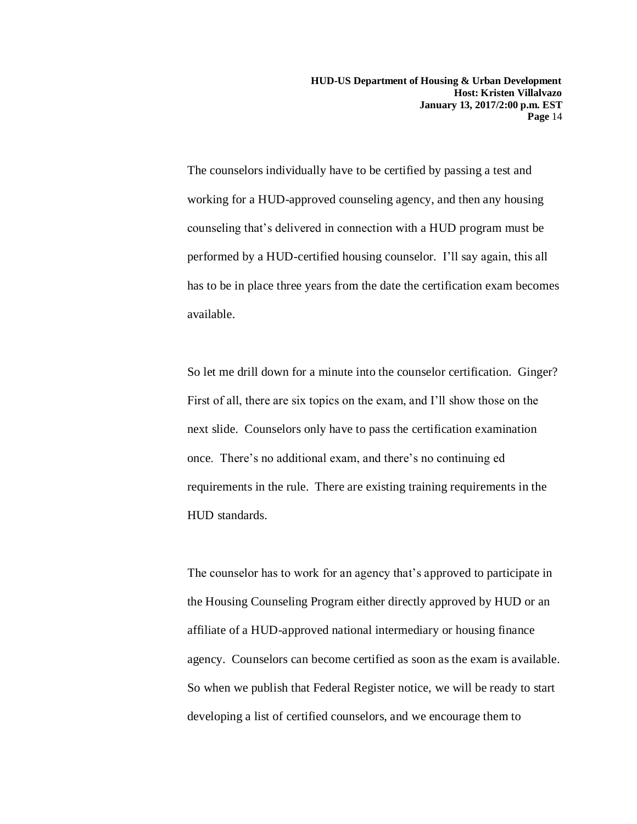The counselors individually have to be certified by passing a test and working for a HUD-approved counseling agency, and then any housing counseling that's delivered in connection with a HUD program must be performed by a HUD-certified housing counselor. I'll say again, this all has to be in place three years from the date the certification exam becomes available.

So let me drill down for a minute into the counselor certification. Ginger? First of all, there are six topics on the exam, and I'll show those on the next slide. Counselors only have to pass the certification examination once. There's no additional exam, and there's no continuing ed requirements in the rule. There are existing training requirements in the HUD standards.

The counselor has to work for an agency that's approved to participate in the Housing Counseling Program either directly approved by HUD or an affiliate of a HUD-approved national intermediary or housing finance agency. Counselors can become certified as soon as the exam is available. So when we publish that Federal Register notice, we will be ready to start developing a list of certified counselors, and we encourage them to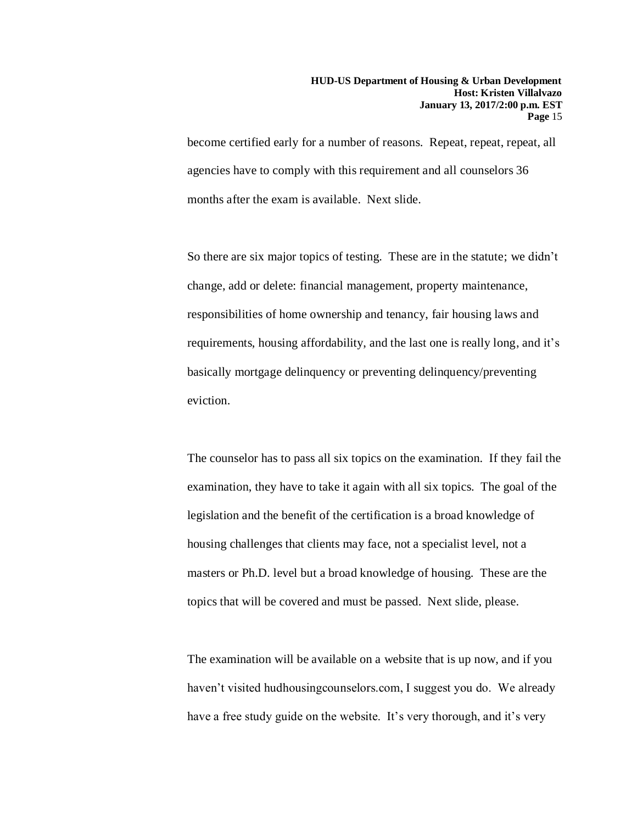become certified early for a number of reasons. Repeat, repeat, repeat, all agencies have to comply with this requirement and all counselors 36 months after the exam is available. Next slide.

So there are six major topics of testing. These are in the statute; we didn't change, add or delete: financial management, property maintenance, responsibilities of home ownership and tenancy, fair housing laws and requirements, housing affordability, and the last one is really long, and it's basically mortgage delinquency or preventing delinquency/preventing eviction.

The counselor has to pass all six topics on the examination. If they fail the examination, they have to take it again with all six topics. The goal of the legislation and the benefit of the certification is a broad knowledge of housing challenges that clients may face, not a specialist level, not a masters or Ph.D. level but a broad knowledge of housing. These are the topics that will be covered and must be passed. Next slide, please.

The examination will be available on a website that is up now, and if you haven't visited hudhousingcounselors.com, I suggest you do. We already have a free study guide on the website. It's very thorough, and it's very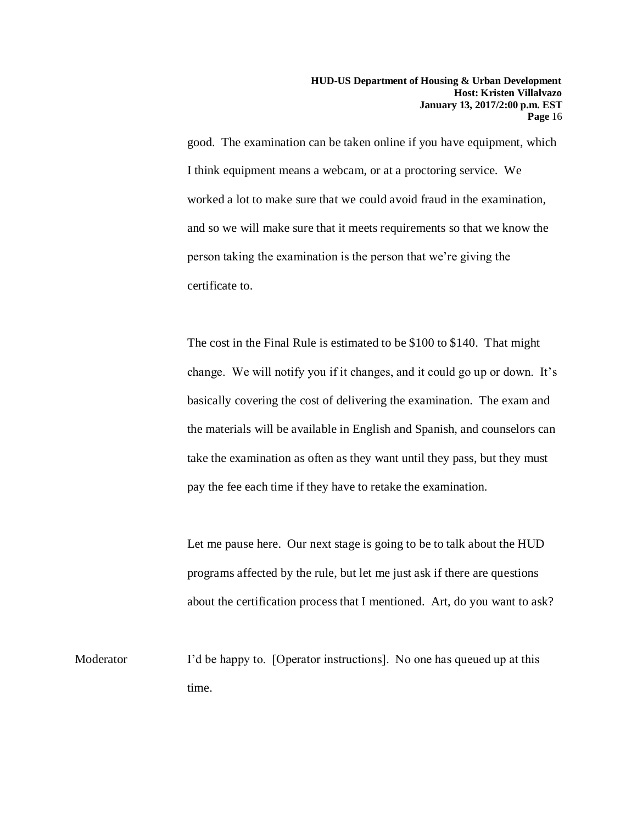good. The examination can be taken online if you have equipment, which I think equipment means a webcam, or at a proctoring service. We worked a lot to make sure that we could avoid fraud in the examination, and so we will make sure that it meets requirements so that we know the person taking the examination is the person that we're giving the certificate to.

The cost in the Final Rule is estimated to be \$100 to \$140. That might change. We will notify you if it changes, and it could go up or down. It's basically covering the cost of delivering the examination. The exam and the materials will be available in English and Spanish, and counselors can take the examination as often as they want until they pass, but they must pay the fee each time if they have to retake the examination.

Let me pause here. Our next stage is going to be to talk about the HUD programs affected by the rule, but let me just ask if there are questions about the certification process that I mentioned. Art, do you want to ask?

Moderator I'd be happy to. [Operator instructions]. No one has queued up at this time.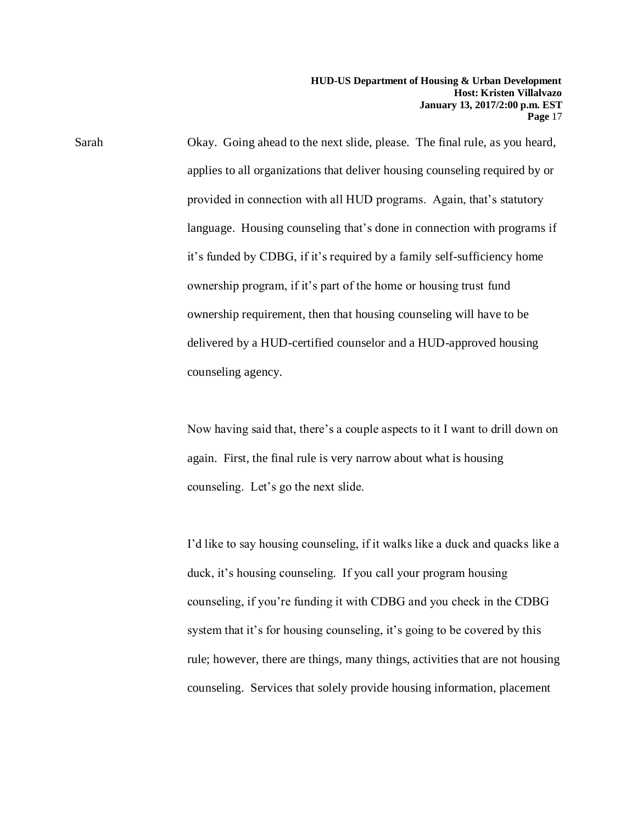Sarah Okay. Going ahead to the next slide, please. The final rule, as you heard, applies to all organizations that deliver housing counseling required by or provided in connection with all HUD programs. Again, that's statutory language. Housing counseling that's done in connection with programs if it's funded by CDBG, if it's required by a family self-sufficiency home ownership program, if it's part of the home or housing trust fund ownership requirement, then that housing counseling will have to be delivered by a HUD-certified counselor and a HUD-approved housing counseling agency.

> Now having said that, there's a couple aspects to it I want to drill down on again. First, the final rule is very narrow about what is housing counseling. Let's go the next slide.

> I'd like to say housing counseling, if it walks like a duck and quacks like a duck, it's housing counseling. If you call your program housing counseling, if you're funding it with CDBG and you check in the CDBG system that it's for housing counseling, it's going to be covered by this rule; however, there are things, many things, activities that are not housing counseling. Services that solely provide housing information, placement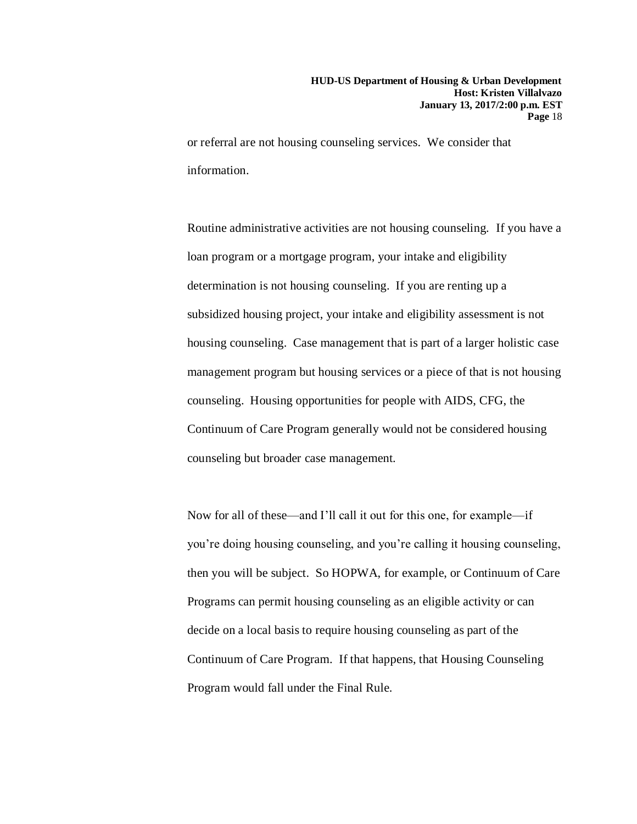or referral are not housing counseling services. We consider that information.

Routine administrative activities are not housing counseling. If you have a loan program or a mortgage program, your intake and eligibility determination is not housing counseling. If you are renting up a subsidized housing project, your intake and eligibility assessment is not housing counseling. Case management that is part of a larger holistic case management program but housing services or a piece of that is not housing counseling. Housing opportunities for people with AIDS, CFG, the Continuum of Care Program generally would not be considered housing counseling but broader case management.

Now for all of these—and I'll call it out for this one, for example—if you're doing housing counseling, and you're calling it housing counseling, then you will be subject. So HOPWA, for example, or Continuum of Care Programs can permit housing counseling as an eligible activity or can decide on a local basis to require housing counseling as part of the Continuum of Care Program. If that happens, that Housing Counseling Program would fall under the Final Rule.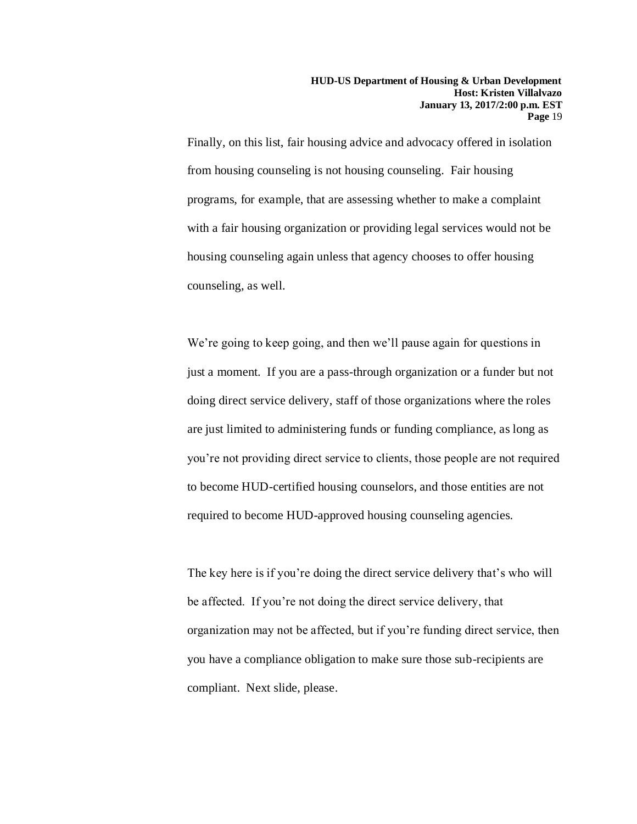Finally, on this list, fair housing advice and advocacy offered in isolation from housing counseling is not housing counseling. Fair housing programs, for example, that are assessing whether to make a complaint with a fair housing organization or providing legal services would not be housing counseling again unless that agency chooses to offer housing counseling, as well.

We're going to keep going, and then we'll pause again for questions in just a moment. If you are a pass-through organization or a funder but not doing direct service delivery, staff of those organizations where the roles are just limited to administering funds or funding compliance, as long as you're not providing direct service to clients, those people are not required to become HUD-certified housing counselors, and those entities are not required to become HUD-approved housing counseling agencies.

The key here is if you're doing the direct service delivery that's who will be affected. If you're not doing the direct service delivery, that organization may not be affected, but if you're funding direct service, then you have a compliance obligation to make sure those sub-recipients are compliant. Next slide, please.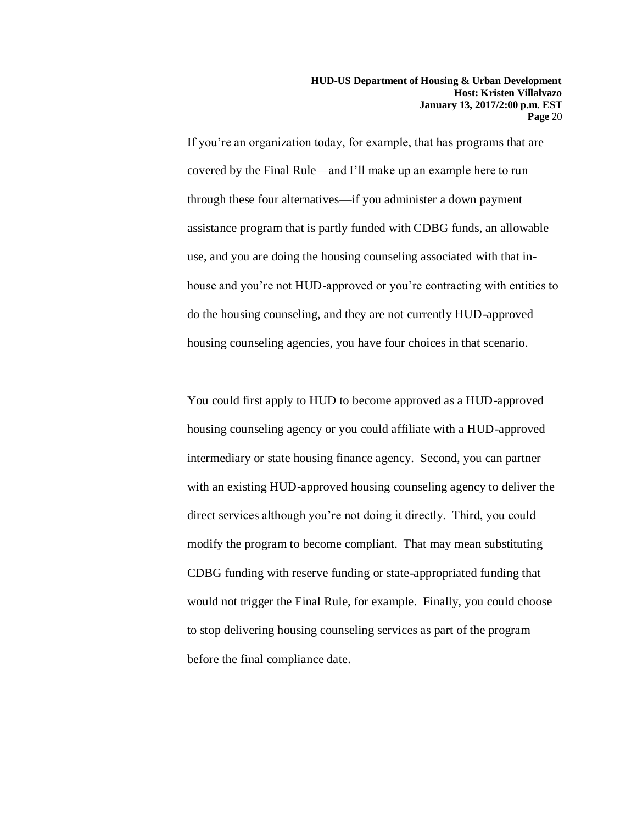If you're an organization today, for example, that has programs that are covered by the Final Rule—and I'll make up an example here to run through these four alternatives—if you administer a down payment assistance program that is partly funded with CDBG funds, an allowable use, and you are doing the housing counseling associated with that inhouse and you're not HUD-approved or you're contracting with entities to do the housing counseling, and they are not currently HUD-approved housing counseling agencies, you have four choices in that scenario.

You could first apply to HUD to become approved as a HUD-approved housing counseling agency or you could affiliate with a HUD-approved intermediary or state housing finance agency. Second, you can partner with an existing HUD-approved housing counseling agency to deliver the direct services although you're not doing it directly. Third, you could modify the program to become compliant. That may mean substituting CDBG funding with reserve funding or state-appropriated funding that would not trigger the Final Rule, for example. Finally, you could choose to stop delivering housing counseling services as part of the program before the final compliance date.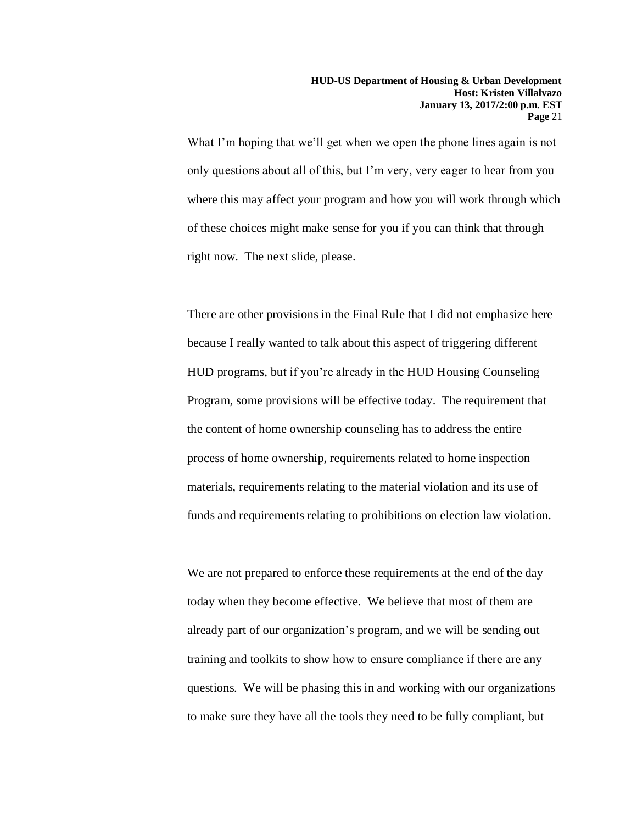What I'm hoping that we'll get when we open the phone lines again is not only questions about all of this, but I'm very, very eager to hear from you where this may affect your program and how you will work through which of these choices might make sense for you if you can think that through right now. The next slide, please.

There are other provisions in the Final Rule that I did not emphasize here because I really wanted to talk about this aspect of triggering different HUD programs, but if you're already in the HUD Housing Counseling Program, some provisions will be effective today. The requirement that the content of home ownership counseling has to address the entire process of home ownership, requirements related to home inspection materials, requirements relating to the material violation and its use of funds and requirements relating to prohibitions on election law violation.

We are not prepared to enforce these requirements at the end of the day today when they become effective. We believe that most of them are already part of our organization's program, and we will be sending out training and toolkits to show how to ensure compliance if there are any questions. We will be phasing this in and working with our organizations to make sure they have all the tools they need to be fully compliant, but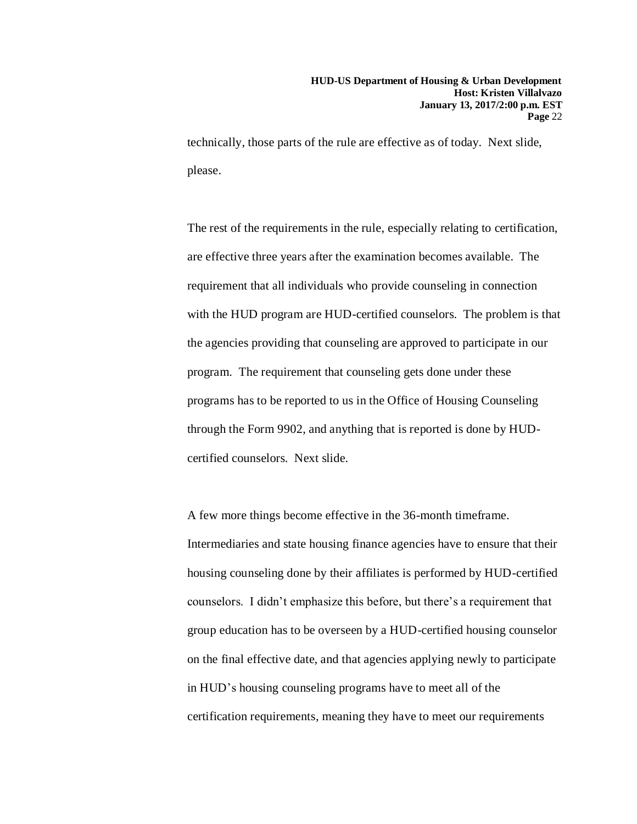technically, those parts of the rule are effective as of today. Next slide, please.

The rest of the requirements in the rule, especially relating to certification, are effective three years after the examination becomes available. The requirement that all individuals who provide counseling in connection with the HUD program are HUD-certified counselors. The problem is that the agencies providing that counseling are approved to participate in our program. The requirement that counseling gets done under these programs has to be reported to us in the Office of Housing Counseling through the Form 9902, and anything that is reported is done by HUDcertified counselors. Next slide.

A few more things become effective in the 36-month timeframe. Intermediaries and state housing finance agencies have to ensure that their housing counseling done by their affiliates is performed by HUD-certified counselors. I didn't emphasize this before, but there's a requirement that group education has to be overseen by a HUD-certified housing counselor on the final effective date, and that agencies applying newly to participate in HUD's housing counseling programs have to meet all of the certification requirements, meaning they have to meet our requirements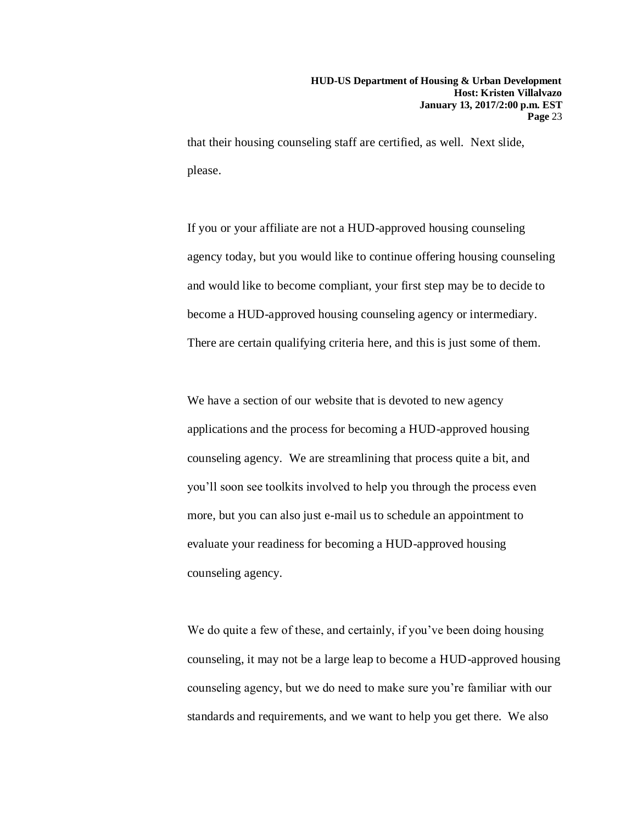that their housing counseling staff are certified, as well. Next slide, please.

If you or your affiliate are not a HUD-approved housing counseling agency today, but you would like to continue offering housing counseling and would like to become compliant, your first step may be to decide to become a HUD-approved housing counseling agency or intermediary. There are certain qualifying criteria here, and this is just some of them.

We have a section of our website that is devoted to new agency applications and the process for becoming a HUD-approved housing counseling agency. We are streamlining that process quite a bit, and you'll soon see toolkits involved to help you through the process even more, but you can also just e-mail us to schedule an appointment to evaluate your readiness for becoming a HUD-approved housing counseling agency.

We do quite a few of these, and certainly, if you've been doing housing counseling, it may not be a large leap to become a HUD-approved housing counseling agency, but we do need to make sure you're familiar with our standards and requirements, and we want to help you get there. We also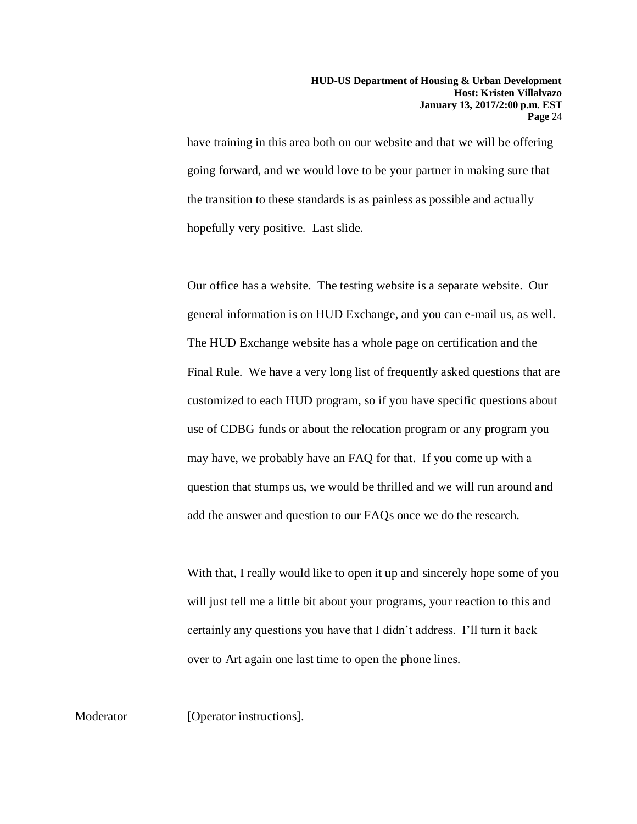have training in this area both on our website and that we will be offering going forward, and we would love to be your partner in making sure that the transition to these standards is as painless as possible and actually hopefully very positive. Last slide.

Our office has a website. The testing website is a separate website. Our general information is on HUD Exchange, and you can e-mail us, as well. The HUD Exchange website has a whole page on certification and the Final Rule. We have a very long list of frequently asked questions that are customized to each HUD program, so if you have specific questions about use of CDBG funds or about the relocation program or any program you may have, we probably have an FAQ for that. If you come up with a question that stumps us, we would be thrilled and we will run around and add the answer and question to our FAQs once we do the research.

With that, I really would like to open it up and sincerely hope some of you will just tell me a little bit about your programs, your reaction to this and certainly any questions you have that I didn't address. I'll turn it back over to Art again one last time to open the phone lines.

Moderator [Operator instructions].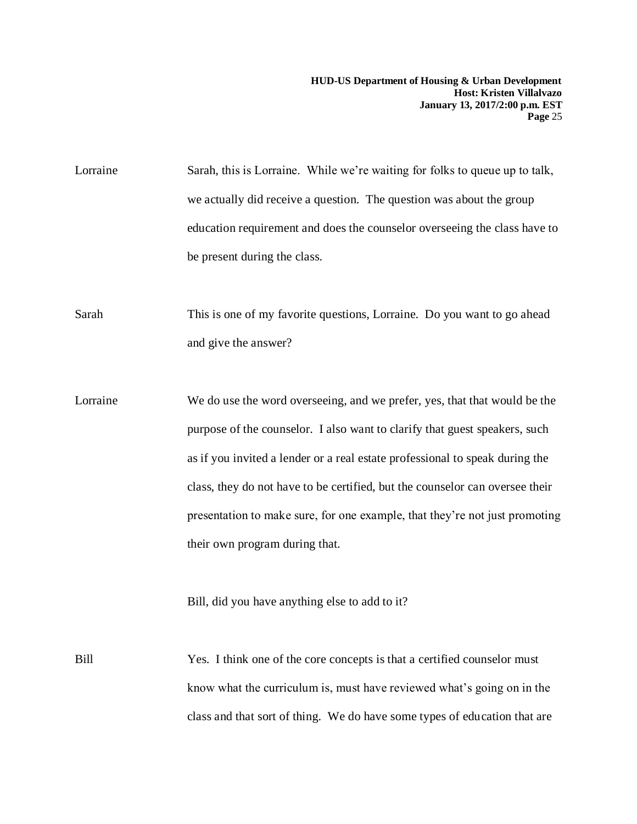Lorraine Sarah, this is Lorraine. While we're waiting for folks to queue up to talk, we actually did receive a question. The question was about the group education requirement and does the counselor overseeing the class have to be present during the class.

Sarah This is one of my favorite questions, Lorraine. Do you want to go ahead and give the answer?

Lorraine We do use the word overseeing, and we prefer, yes, that that would be the purpose of the counselor. I also want to clarify that guest speakers, such as if you invited a lender or a real estate professional to speak during the class, they do not have to be certified, but the counselor can oversee their presentation to make sure, for one example, that they're not just promoting their own program during that.

Bill, did you have anything else to add to it?

Bill Yes. I think one of the core concepts is that a certified counselor must know what the curriculum is, must have reviewed what's going on in the class and that sort of thing. We do have some types of education that are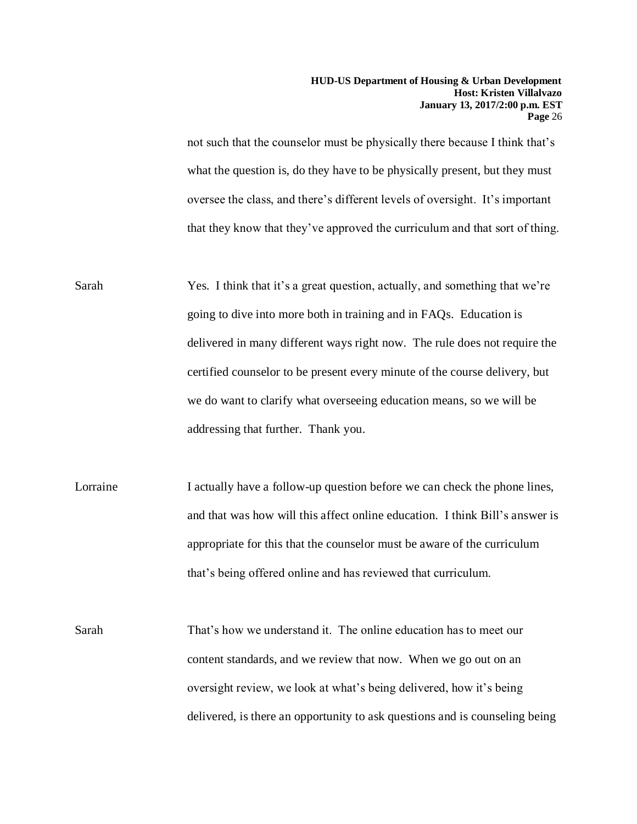not such that the counselor must be physically there because I think that's what the question is, do they have to be physically present, but they must oversee the class, and there's different levels of oversight. It's important that they know that they've approved the curriculum and that sort of thing.

- Sarah Yes. I think that it's a great question, actually, and something that we're going to dive into more both in training and in FAQs. Education is delivered in many different ways right now. The rule does not require the certified counselor to be present every minute of the course delivery, but we do want to clarify what overseeing education means, so we will be addressing that further. Thank you.
- Lorraine I actually have a follow-up question before we can check the phone lines, and that was how will this affect online education. I think Bill's answer is appropriate for this that the counselor must be aware of the curriculum that's being offered online and has reviewed that curriculum.
- Sarah That's how we understand it. The online education has to meet our content standards, and we review that now. When we go out on an oversight review, we look at what's being delivered, how it's being delivered, is there an opportunity to ask questions and is counseling being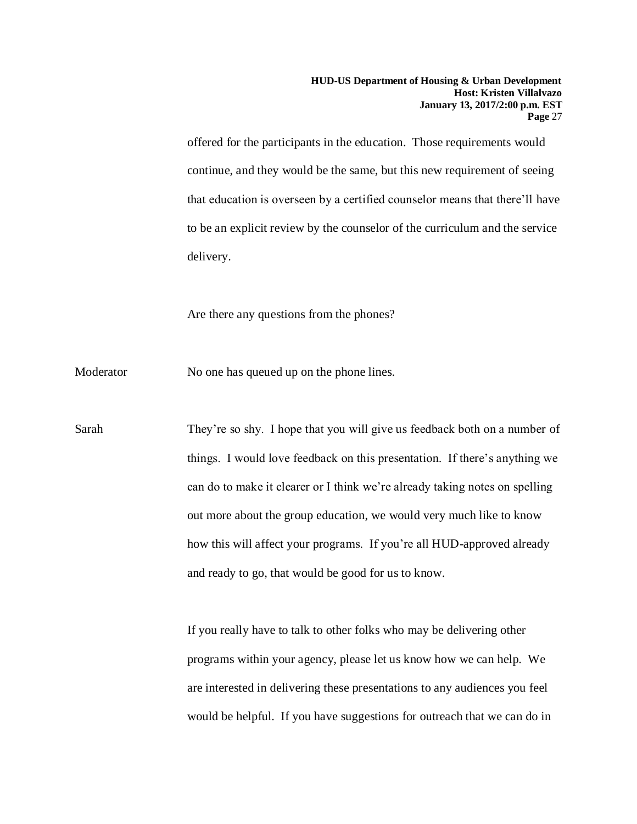offered for the participants in the education. Those requirements would continue, and they would be the same, but this new requirement of seeing that education is overseen by a certified counselor means that there'll have to be an explicit review by the counselor of the curriculum and the service delivery.

Are there any questions from the phones?

Moderator No one has queued up on the phone lines.

Sarah They're so shy. I hope that you will give us feedback both on a number of things. I would love feedback on this presentation. If there's anything we can do to make it clearer or I think we're already taking notes on spelling out more about the group education, we would very much like to know how this will affect your programs. If you're all HUD-approved already and ready to go, that would be good for us to know.

> If you really have to talk to other folks who may be delivering other programs within your agency, please let us know how we can help. We are interested in delivering these presentations to any audiences you feel would be helpful. If you have suggestions for outreach that we can do in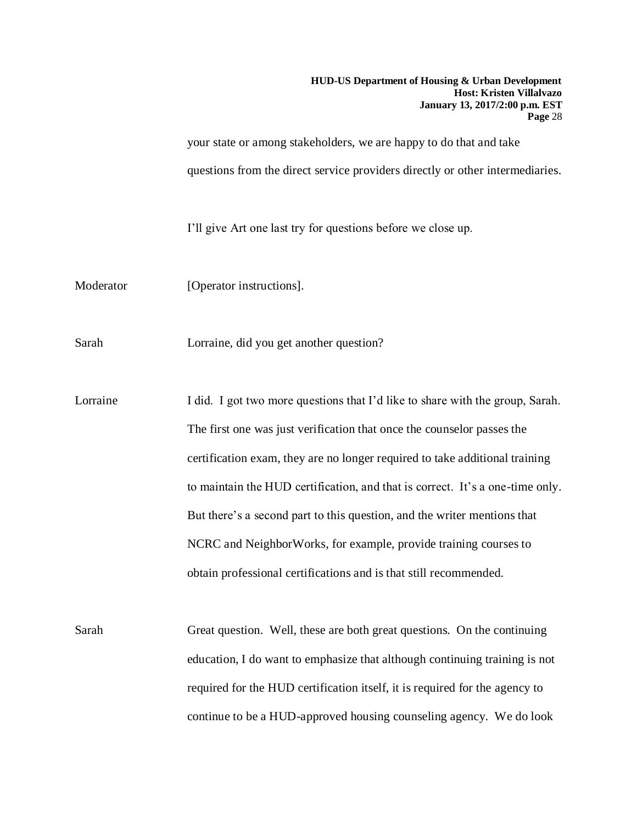your state or among stakeholders, we are happy to do that and take questions from the direct service providers directly or other intermediaries.

I'll give Art one last try for questions before we close up.

Moderator [Operator instructions].

Sarah Lorraine, did you get another question?

Lorraine I did. I got two more questions that I'd like to share with the group, Sarah. The first one was just verification that once the counselor passes the certification exam, they are no longer required to take additional training to maintain the HUD certification, and that is correct. It's a one-time only. But there's a second part to this question, and the writer mentions that NCRC and NeighborWorks, for example, provide training courses to obtain professional certifications and is that still recommended.

Sarah Great question. Well, these are both great questions. On the continuing education, I do want to emphasize that although continuing training is not required for the HUD certification itself, it is required for the agency to continue to be a HUD-approved housing counseling agency. We do look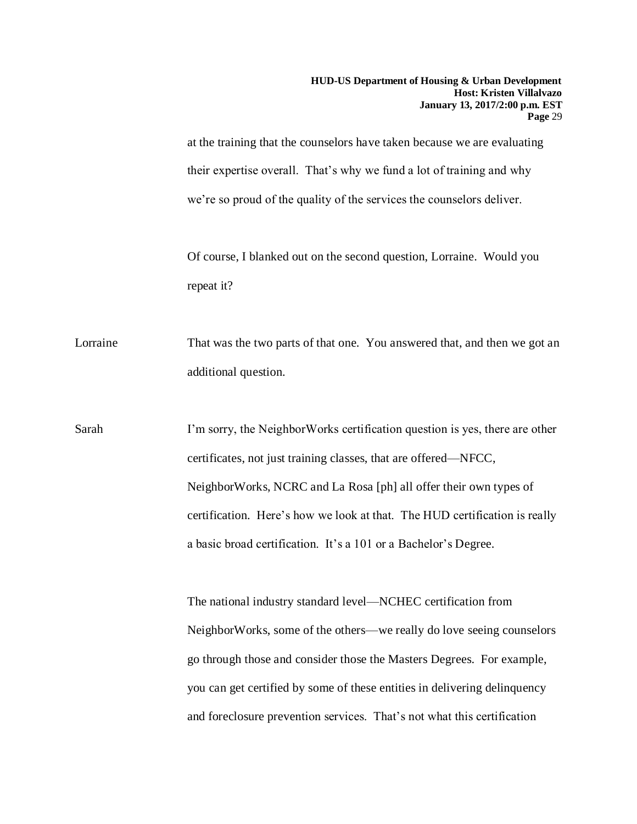at the training that the counselors have taken because we are evaluating their expertise overall. That's why we fund a lot of training and why we're so proud of the quality of the services the counselors deliver.

Of course, I blanked out on the second question, Lorraine. Would you repeat it?

Lorraine That was the two parts of that one. You answered that, and then we got an additional question.

Sarah I'm sorry, the NeighborWorks certification question is yes, there are other certificates, not just training classes, that are offered—NFCC, NeighborWorks, NCRC and La Rosa [ph] all offer their own types of certification. Here's how we look at that. The HUD certification is really a basic broad certification. It's a 101 or a Bachelor's Degree.

> The national industry standard level—NCHEC certification from NeighborWorks, some of the others—we really do love seeing counselors go through those and consider those the Masters Degrees. For example, you can get certified by some of these entities in delivering delinquency and foreclosure prevention services. That's not what this certification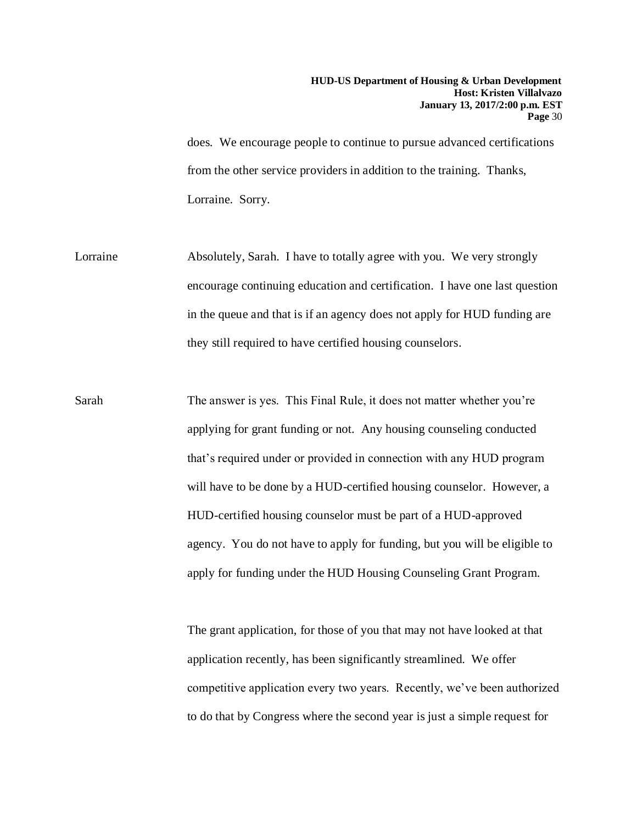does. We encourage people to continue to pursue advanced certifications from the other service providers in addition to the training. Thanks, Lorraine. Sorry.

- Lorraine Absolutely, Sarah. I have to totally agree with you. We very strongly encourage continuing education and certification. I have one last question in the queue and that is if an agency does not apply for HUD funding are they still required to have certified housing counselors.
- Sarah The answer is yes. This Final Rule, it does not matter whether you're applying for grant funding or not. Any housing counseling conducted that's required under or provided in connection with any HUD program will have to be done by a HUD-certified housing counselor. However, a HUD-certified housing counselor must be part of a HUD-approved agency. You do not have to apply for funding, but you will be eligible to apply for funding under the HUD Housing Counseling Grant Program.

The grant application, for those of you that may not have looked at that application recently, has been significantly streamlined. We offer competitive application every two years. Recently, we've been authorized to do that by Congress where the second year is just a simple request for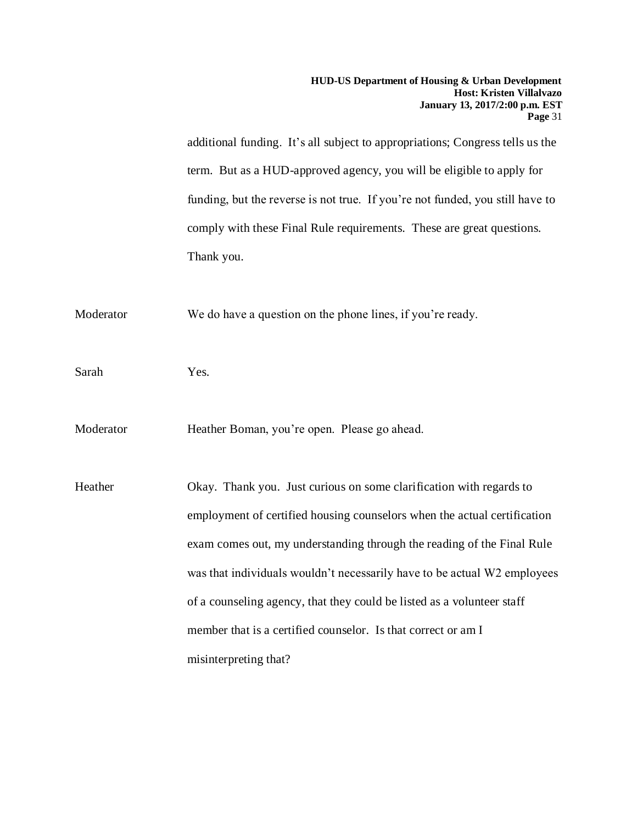additional funding. It's all subject to appropriations; Congress tells us the term. But as a HUD-approved agency, you will be eligible to apply for funding, but the reverse is not true. If you're not funded, you still have to comply with these Final Rule requirements. These are great questions. Thank you.

Moderator We do have a question on the phone lines, if you're ready.

Sarah Yes.

Moderator Heather Boman, you're open. Please go ahead.

Heather Okay. Thank you. Just curious on some clarification with regards to employment of certified housing counselors when the actual certification exam comes out, my understanding through the reading of the Final Rule was that individuals wouldn't necessarily have to be actual W2 employees of a counseling agency, that they could be listed as a volunteer staff member that is a certified counselor. Is that correct or am I misinterpreting that?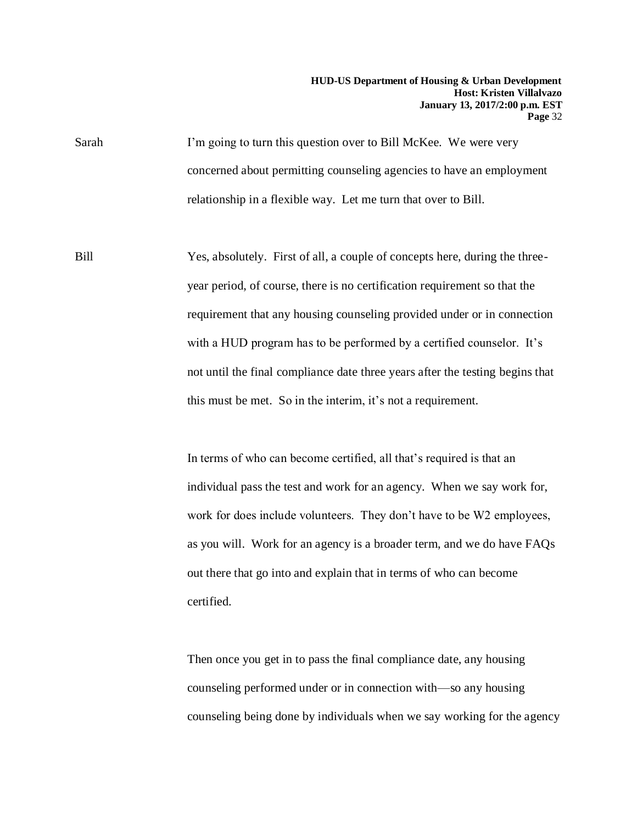Sarah I'm going to turn this question over to Bill McKee. We were very concerned about permitting counseling agencies to have an employment relationship in a flexible way. Let me turn that over to Bill.

Bill Yes, absolutely. First of all, a couple of concepts here, during the threeyear period, of course, there is no certification requirement so that the requirement that any housing counseling provided under or in connection with a HUD program has to be performed by a certified counselor. It's not until the final compliance date three years after the testing begins that this must be met. So in the interim, it's not a requirement.

> In terms of who can become certified, all that's required is that an individual pass the test and work for an agency. When we say work for, work for does include volunteers. They don't have to be W2 employees, as you will. Work for an agency is a broader term, and we do have FAQs out there that go into and explain that in terms of who can become certified.

Then once you get in to pass the final compliance date, any housing counseling performed under or in connection with—so any housing counseling being done by individuals when we say working for the agency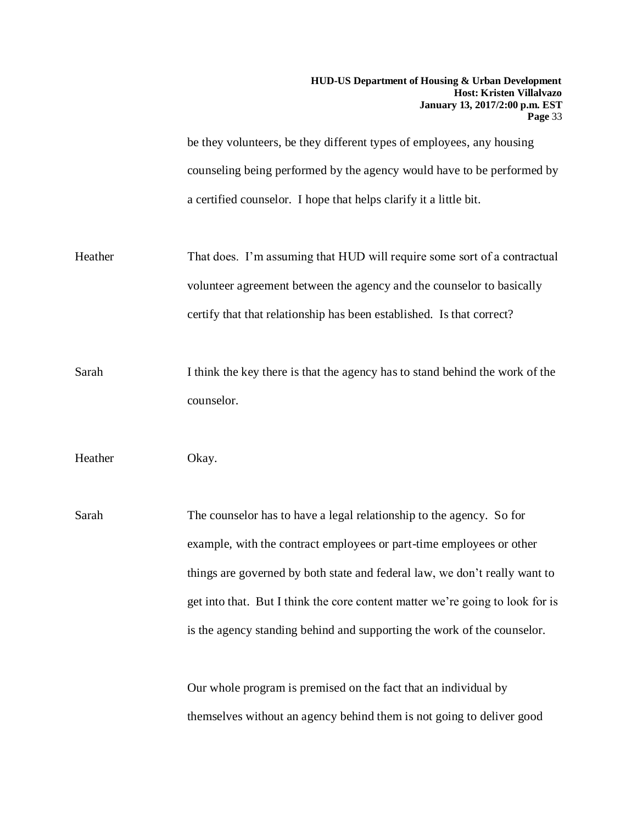be they volunteers, be they different types of employees, any housing counseling being performed by the agency would have to be performed by a certified counselor. I hope that helps clarify it a little bit.

- Heather That does. I'm assuming that HUD will require some sort of a contractual volunteer agreement between the agency and the counselor to basically certify that that relationship has been established. Is that correct?
- Sarah I think the key there is that the agency has to stand behind the work of the counselor.

Heather Okay.

Sarah The counselor has to have a legal relationship to the agency. So for example, with the contract employees or part-time employees or other things are governed by both state and federal law, we don't really want to get into that. But I think the core content matter we're going to look for is is the agency standing behind and supporting the work of the counselor.

> Our whole program is premised on the fact that an individual by themselves without an agency behind them is not going to deliver good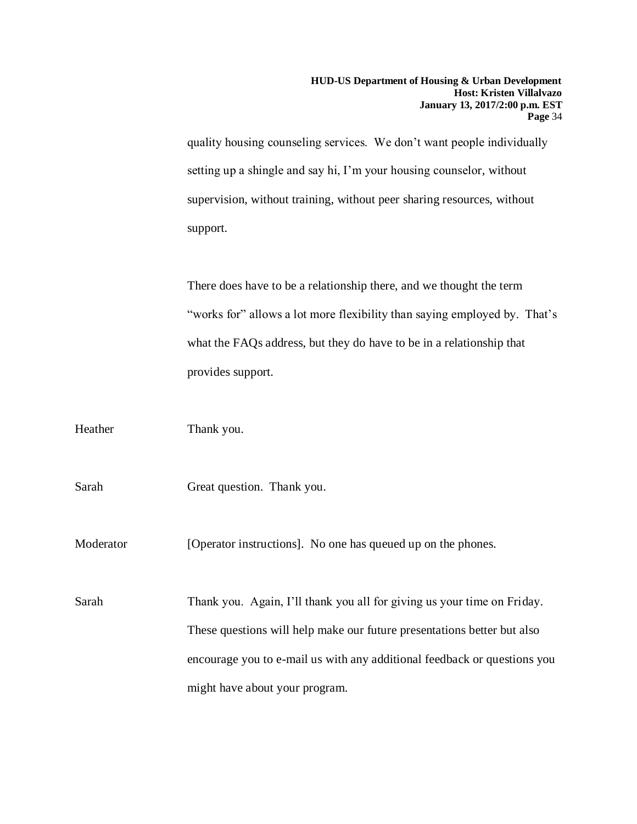quality housing counseling services. We don't want people individually setting up a shingle and say hi, I'm your housing counselor, without supervision, without training, without peer sharing resources, without support.

There does have to be a relationship there, and we thought the term "works for" allows a lot more flexibility than saying employed by. That's what the FAQs address, but they do have to be in a relationship that provides support.

| Heather   | Thank you.                                                                                                                                                                                                                     |
|-----------|--------------------------------------------------------------------------------------------------------------------------------------------------------------------------------------------------------------------------------|
| Sarah     | Great question. Thank you.                                                                                                                                                                                                     |
| Moderator | [Operator instructions]. No one has queued up on the phones.                                                                                                                                                                   |
| Sarah     | Thank you. Again, I'll thank you all for giving us your time on Friday.<br>These questions will help make our future presentations better but also<br>encourage you to e-mail us with any additional feedback or questions you |
|           | might have about your program.                                                                                                                                                                                                 |